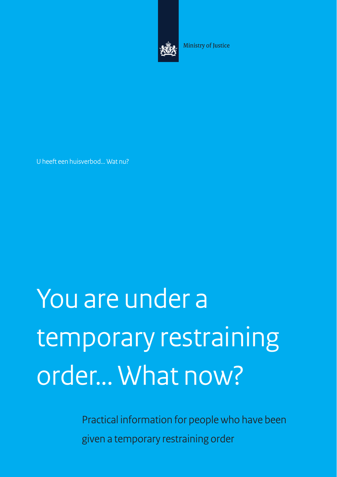

Ministry of Justice

U heeft een huisverbod... Wat nu?

# You are under a temporary restraining order... What now?

Practical information for people who have been given a temporary restraining order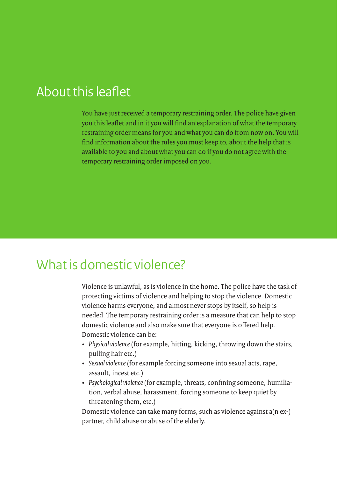## About this leaflet

You have just received a temporary restraining order. The police have given you this leaflet and in it you will find an explanation of what the temporary restraining order means for you and what you can do from now on. You will find information about the rules you must keep to, about the help that is available to you and about what you can do if you do not agree with the temporary restraining order imposed on you.

#### What is domestic violence?

Violence is unlawful, as is violence in the home. The police have the task of protecting victims of violence and helping to stop the violence. Domestic violence harms everyone, and almost never stops by itself, so help is needed. The temporary restraining order is a measure that can help to stop domestic violence and also make sure that everyone is offered help. Domestic violence can be:

- • *Physical violence* (for example, hitting, kicking, throwing down the stairs, pulling hair etc.)
- • *Sexual violence* (for example forcing someone into sexual acts, rape, assault, incest etc.)
- • *Psychological violence* (for example, threats, confining someone, humiliation, verbal abuse, harassment, forcing someone to keep quiet by threatening them, etc.)

Domestic violence can take many forms, such as violence against a(n ex-) partner, child abuse or abuse of the elderly.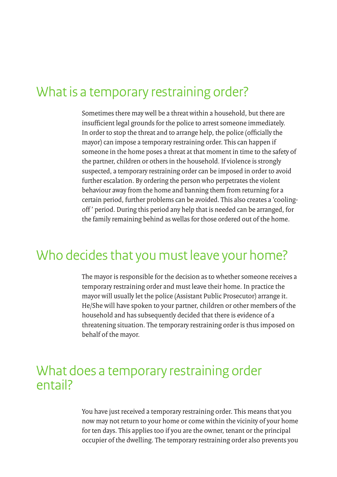## What is a temporary restraining order?

Sometimes there may well be a threat within a household, but there are insufficient legal grounds for the police to arrest someone immediately. In order to stop the threat and to arrange help, the police (officially the mayor) can impose a temporary restraining order. This can happen if someone in the home poses a threat at that moment in time to the safety of the partner, children or others in the household. If violence is strongly suspected, a temporary restraining order can be imposed in order to avoid further escalation. By ordering the person who perpetrates the violent behaviour away from the home and banning them from returning for a certain period, further problems can be avoided. This also creates a 'coolingoff ' period. During this period any help that is needed can be arranged, for the family remaining behind as wellas for those ordered out of the home.

#### Who decides that you must leave your home?

The mayor is responsible for the decision as to whether someone receives a temporary restraining order and must leave their home. In practice the mayor will usually let the police (Assistant Public Prosecutor) arrange it. He/She will have spoken to your partner, children or other members of the household and has subsequently decided that there is evidence of a threatening situation. The temporary restraining order is thus imposed on behalf of the mayor.

#### What does a temporary restraining order entail?

You have just received a temporary restraining order. This means that you now may not return to your home or come within the vicinity of your home for ten days. This applies too if you are the owner, tenant or the principal occupier of the dwelling. The temporary restraining order also prevents you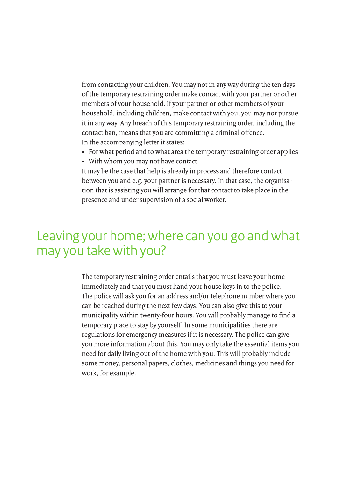from contacting your children. You may not in any way during the ten days of the temporary restraining order make contact with your partner or other members of your household. If your partner or other members of your household, including children, make contact with you, you may not pursue it in any way. Any breach of this temporary restraining order, including the contact ban, means that you are committing a criminal offence. In the accompanying letter it states:

- For what period and to what area the temporary restraining order applies
- • With whom you may not have contact

It may be the case that help is already in process and therefore contact between you and e.g. your partner is necessary. In that case, the organisation that is assisting you will arrange for that contact to take place in the presence and under supervision of a social worker.

## Leaving your home; where can you go and what may you take with you?

The temporary restraining order entails that you must leave your home immediately and that you must hand your house keys in to the police. The police will ask you for an address and/or telephone number where you can be reached during the next few days. You can also give this to your municipality within twenty-four hours. You will probably manage to find a temporary place to stay by yourself. In some municipalities there are regulations for emergency measures if it is necessary. The police can give you more information about this. You may only take the essential items you need for daily living out of the home with you. This will probably include some money, personal papers, clothes, medicines and things you need for work, for example.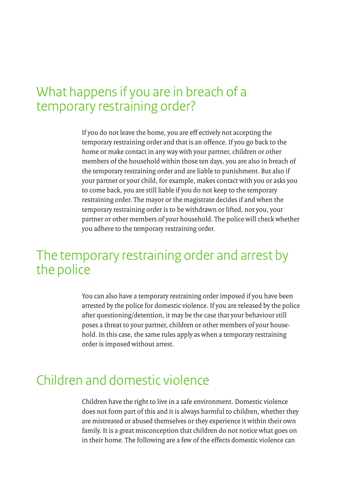## What happens if you are in breach of a temporary restraining order?

If you do not leave the home, you are eff ectively not accepting the temporary restraining order and that is an offence. If you go back to the home or make contact in any way with your partner, children or other members of the household within those ten days, you are also in breach of the temporary restraining order and are liable to punishment. But also if your partner or your child, for example, makes contact with you or asks you to come back, you are still liable if you do not keep to the temporary restraining order. The mayor or the magistrate decides if and when the temporary restraining order is to be withdrawn or lifted, not you, your partner or other members of your household. The police will check whether you adhere to the temporary restraining order.

#### The temporary restraining order and arrest by the police

You can also have a temporary restraining order imposed if you have been arrested by the police for domestic violence. If you are released by the police after questioning/detention, it may be the case that your behaviour still poses a threat to your partner, children or other members of your household. In this case, the same rules apply as when a temporary restraining order is imposed without arrest.

#### Children and domestic violence

Children have the right to live in a safe environment. Domestic violence does not form part of this and it is always harmful to children, whether they are mistreated or abused themselves or they experience it within their own family. It is a great misconception that children do not notice what goes on in their home. The following are a few of the effects domestic violence can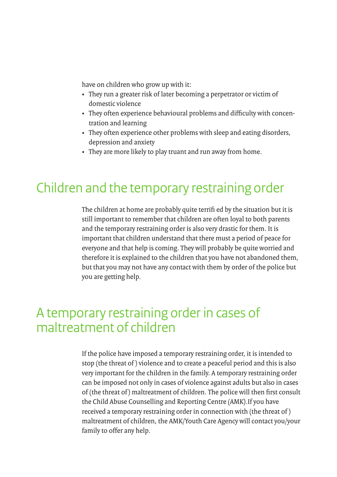have on children who grow up with it:

- • They run a greater risk of later becoming a perpetrator or victim of domestic violence
- • They often experience behavioural problems and difficulty with concentration and learning
- They often experience other problems with sleep and eating disorders, depression and anxiety
- They are more likely to play truant and run away from home.

# Children and the temporary restraining order

The children at home are probably quite terrifi ed by the situation but it is still important to remember that children are often loyal to both parents and the temporary restraining order is also very drastic for them. It is important that children understand that there must a period of peace for everyone and that help is coming. They will probably be quite worried and therefore it is explained to the children that you have not abandoned them, but that you may not have any contact with them by order of the police but you are getting help.

## A temporary restraining order in cases of maltreatment of children

If the police have imposed a temporary restraining order, it is intended to stop (the threat of ) violence and to create a peaceful period and this is also very important for the children in the family. A temporary restraining order can be imposed not only in cases of violence against adults but also in cases of (the threat of ) maltreatment of children. The police will then first consult the Child Abuse Counselling and Reporting Centre (AMK).If you have received a temporary restraining order in connection with (the threat of ) maltreatment of children, the AMK/Youth Care Agency will contact you/your family to offer any help.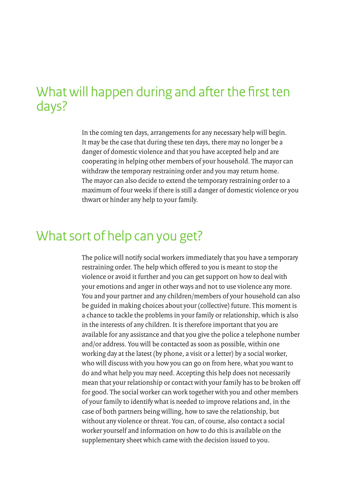## What will happen during and after the first ten days?

In the coming ten days, arrangements for any necessary help will begin. It may be the case that during these ten days, there may no longer be a danger of domestic violence and that you have accepted help and are cooperating in helping other members of your household. The mayor can withdraw the temporary restraining order and you may return home. The mayor can also decide to extend the temporary restraining order to a maximum of four weeks if there is still a danger of domestic violence or you thwart or hinder any help to your family.

# What sort of help can you get?

The police will notify social workers immediately that you have a temporary restraining order. The help which offered to you is meant to stop the violence or avoid it further and you can get support on how to deal with your emotions and anger in other ways and not to use violence any more. You and your partner and any children/members of your household can also be guided in making choices about your (collective) future. This moment is a chance to tackle the problems in your family or relationship, which is also in the interests of any children. It is therefore important that you are available for any assistance and that you give the police a telephone number and/or address. You will be contacted as soon as possible, within one working day at the latest (by phone, a visit or a letter) by a social worker, who will discuss with you how you can go on from here, what you want to do and what help you may need. Accepting this help does not necessarily mean that your relationship or contact with your family has to be broken off for good. The social worker can work together with you and other members of your family to identify what is needed to improve relations and, in the case of both partners being willing, how to save the relationship, but without any violence or threat. You can, of course, also contact a social worker yourself and information on how to do this is available on the supplementary sheet which came with the decision issued to you.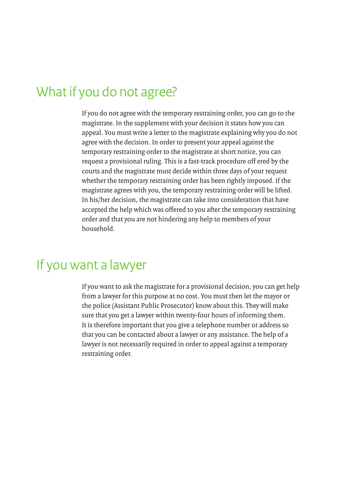#### What if you do not agree?

If you do not agree with the temporary restraining order, you can go to the magistrate. In the supplement with your decision it states how you can appeal. You must write a letter to the magistrate explaining why you do not agree with the decision. In order to present your appeal against the temporary restraining order to the magistrate at short notice, you can request a provisional ruling. This is a fast-track procedure off ered by the courts and the magistrate must decide within three days of your request whether the temporary restraining order has been rightly imposed. If the magistrate agrees with you, the temporary restraining order will be lifted. In his/her decision, the magistrate can take into consideration that have accepted the help which was offered to you after the temporary restraining order and that you are not hindering any help to members of your household.

#### If you want a lawyer

If you want to ask the magistrate for a provisional decision, you can get help from a lawyer for this purpose at no cost. You must then let the mayor or the police (Assistant Public Prosecutor) know about this. They will make sure that you get a lawyer within twenty-four hours of informing them. It is therefore important that you give a telephone number or address so that you can be contacted about a lawyer or any assistance. The help of a lawyer is not necessarily required in order to appeal against a temporary restraining order.